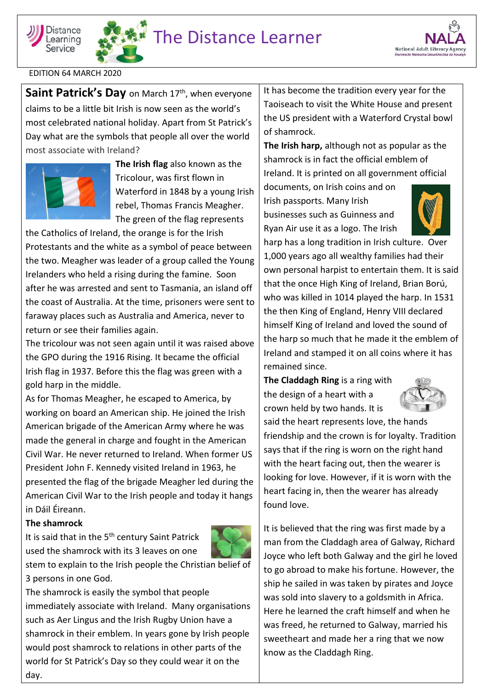





EDITION 64 MARCH 2020

**Saint Patrick's Day** on March 17<sup>th</sup>, when everyone claims to be a little bit Irish is now seen as the world's most celebrated national holiday. Apart from St Patrick's Day what are the symbols that people all over the world most associate with Ireland?



**The Irish flag** also known as the Tricolour, was first flown in Waterford in 1848 by a young Irish rebel, Thomas Francis Meagher. The green of the flag represents

the Catholics of Ireland, the orange is for the Irish Protestants and the white as a symbol of peace between the two. Meagher was leader of a group called the Young Irelanders who held a rising during the famine. Soon after he was arrested and sent to Tasmania, an island off the coast of Australia. At the time, prisoners were sent to faraway places such as Australia and America, never to return or see their families again.

The tricolour was not seen again until it was raised above the GPO during the 1916 Rising. It became the official Irish flag in 1937. Before this the flag was green with a gold harp in the middle.

As for Thomas Meagher, he escaped to America, by working on board an American ship. He joined the Irish American brigade of the American Army where he was made the general in charge and fought in the American Civil War. He never returned to Ireland. When former US President John F. Kennedy visited Ireland in 1963, he presented the flag of the brigade Meagher led during the American Civil War to the Irish people and today it hangs in Dáil Éireann.

## **The shamrock**

It is said that in the  $5<sup>th</sup>$  century Saint Patrick used the shamrock with its 3 leaves on one



stem to explain to the Irish people the Christian belief of 3 persons in one God.

The shamrock is easily the symbol that people immediately associate with Ireland. Many organisations such as Aer Lingus and the Irish Rugby Union have a shamrock in their emblem. In years gone by Irish people would post shamrock to relations in other parts of the world for St Patrick's Day so they could wear it on the day.

It has become the tradition every year for the Taoiseach to visit the White House and present the US president with a Waterford Crystal bowl of shamrock.

**The Irish harp,** although not as popular as the shamrock is in fact the official emblem of Ireland. It is printed on all government official

documents, on Irish coins and on Irish passports. Many Irish businesses such as Guinness and Ryan Air use it as a logo. The Irish



harp has a long tradition in Irish culture. Over 1,000 years ago all wealthy families had their own personal harpist to entertain them. It is said that the once High King of Ireland, Brian Ború, who was killed in 1014 played the harp. In 1531 the then King of England, Henry VIII declared himself King of Ireland and loved the sound of the harp so much that he made it the emblem of Ireland and stamped it on all coins where it has remained since.

**The Claddagh Ring** is a ring with the design of a heart with a crown held by two hands. It is



said the heart represents love, the hands friendship and the crown is for loyalty. Tradition says that if the ring is worn on the right hand with the heart facing out, then the wearer is looking for love. However, if it is worn with the heart facing in, then the wearer has already found love.

It is believed that the ring was first made by a man from the Claddagh area of Galway, Richard Joyce who left both Galway and the girl he loved to go abroad to make his fortune. However, the ship he sailed in was taken by pirates and Joyce was sold into slavery to a goldsmith in Africa. Here he learned the craft himself and when he was freed, he returned to Galway, married his sweetheart and made her a ring that we now know as the Claddagh Ring.